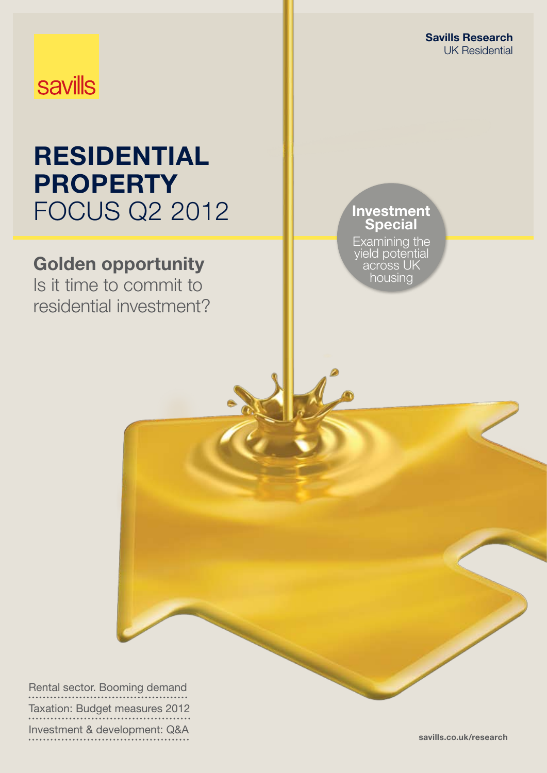Savills Research UK Residential

## **savills**

## **RESIDENTIAL PROPERTY** Focus Q2 2012

## Golden opportunity

Is it time to commit to residential investment?

### Investment Special

Examining the yield potential across UK housing

Rental sector. Booming demand Taxation: Budget measures 2012 Investment & development: Q&A savills.co.uk/research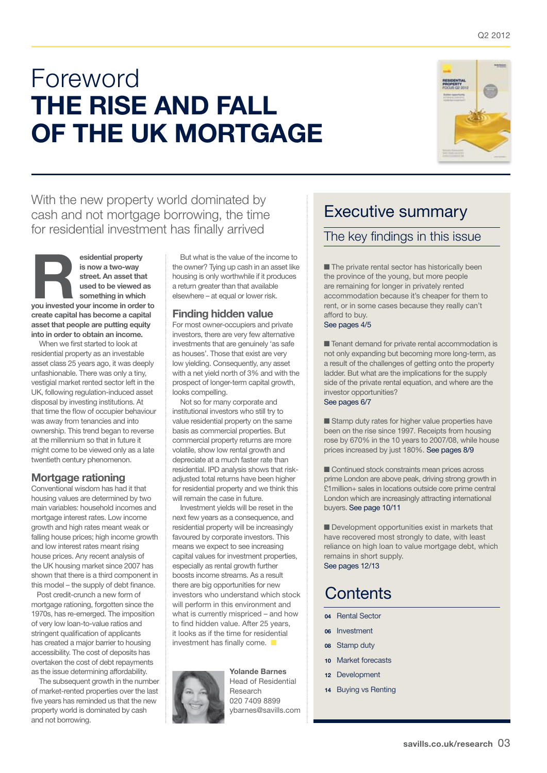## Foreword THE RISE AND FALL of the UK mortgage



With the new property world dominated by cash and not mortgage borrowing, the time for residential investment has finally arrived

esidential property<br>
is now a two-way<br>
street. An asset that<br>
used to be viewed as<br>
something in which<br>
you invested your income in order to is now a two-way street. An asset that used to be viewed as something in which create capital has become a capital asset that people are putting equity into in order to obtain an income.

When we first started to look at residential property as an investable asset class 25 years ago, it was deeply unfashionable. There was only a tiny, vestigial market rented sector left in the UK, following regulation-induced asset disposal by investing institutions. At that time the flow of occupier behaviour was away from tenancies and into ownership. This trend began to reverse at the millennium so that in future it might come to be viewed only as a late twentieth century phenomenon.

### Mortgage rationing

Conventional wisdom has had it that housing values are determined by two main variables: household incomes and mortgage interest rates. Low income growth and high rates meant weak or falling house prices; high income growth and low interest rates meant rising house prices. Any recent analysis of the UK housing market since 2007 has shown that there is a third component in this model – the supply of debt finance.

 Post credit-crunch a new form of mortgage rationing, forgotten since the 1970s, has re-emerged. The imposition of very low loan-to-value ratios and stringent qualification of applicants has created a major barrier to housing accessibility. The cost of deposits has overtaken the cost of debt repayments as the issue determining affordability.

The subsequent growth in the number of market-rented properties over the last five years has reminded us that the new property world is dominated by cash and not borrowing.

But what is the value of the income to the owner? Tying up cash in an asset like housing is only worthwhile if it produces a return greater than that available elsewhere – at equal or lower risk.

#### Finding hidden value

For most owner-occupiers and private investors, there are very few alternative investments that are genuinely 'as safe as houses'. Those that exist are very low yielding. Consequently, any asset with a net yield north of 3% and with the prospect of longer-term capital growth, looks compelling.

Not so for many corporate and institutional investors who still try to value residential property on the same basis as commercial properties. But commercial property returns are more volatile, show low rental growth and depreciate at a much faster rate than residential. IPD analysis shows that riskadjusted total returns have been higher for residential property and we think this will remain the case in future.

Investment yields will be reset in the next few years as a consequence, and residential property will be increasingly favoured by corporate investors. This means we expect to see increasing capital values for investment properties, especially as rental growth further boosts income streams. As a result there are big opportunities for new investors who understand which stock will perform in this environment and what is currently mispriced – and how to find hidden value. After 25 years, it looks as if the time for residential investment has finally come.  $\blacksquare$ 



Head of Residential Research 020 7409 8899 ybarnes@savills.com

Yolande Barnes

### Executive summary

### The key findings in this issue

■ The private rental sector has historically been the province of the young, but more people are remaining for longer in privately rented accommodation because it's cheaper for them to rent, or in some cases because they really can't afford to buy.

See pages 4/5

■ Tenant demand for private rental accommodation is not only expanding but becoming more long-term, as a result of the challenges of getting onto the property ladder. But what are the implications for the supply side of the private rental equation, and where are the investor opportunities? See pages 6/7

■ Stamp duty rates for higher value properties have been on the rise since 1997. Receipts from housing rose by 670% in the 10 years to 2007/08, while house prices increased by just 180%. See pages 8/9

■ Continued stock constraints mean prices across prime London are above peak, driving strong growth in £1million+ sales in locations outside core prime central London which are increasingly attracting international buyers. See page 10/11

■ Development opportunities exist in markets that have recovered most strongly to date, with least reliance on high loan to value mortgage debt, which remains in short supply. See pages 12/13

### **Contents**

- 04 Rental Sector
- 06 Investment
- 08 Stamp duty
- 10 Market forecasts
- 12 Development
- 14 Buying vs Renting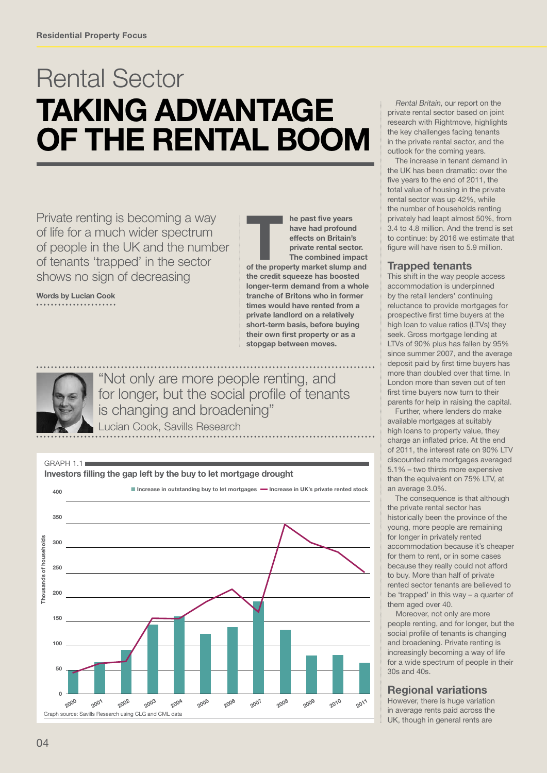## Rental Sector taking advantage of the rental boom

Private renting is becoming a way of life for a much wider spectrum of people in the UK and the number of tenants 'trapped' in the sector shows no sign of decreasing

Words by Lucian Cook

The past five years<br>
have had profound<br>
effects on Britain's<br>
private rental sector.<br>
The combined impact<br>
of the property market slump and have had profound effects on Britain's private rental sector. The combined impact the credit squeeze has boosted longer-term demand from a whole tranche of Britons who in former times would have rented from a private landlord on a relatively short-term basis, before buying their own first property or as a stopgap between moves.



"Not only are more people renting, and for longer, but the social profile of tenants is changing and broadening"

Lucian Cook, Savills Research



Rental Britain, our report on the private rental sector based on joint research with Rightmove, highlights the key challenges facing tenants in the private rental sector, and the outlook for the coming years.

The increase in tenant demand in the UK has been dramatic: over the five years to the end of 2011, the total value of housing in the private rental sector was up 42%, while the number of households renting privately had leapt almost 50%, from 3.4 to 4.8 million. And the trend is set to continue: by 2016 we estimate that figure will have risen to 5.9 million.

### Trapped tenants

This shift in the way people access accommodation is underpinned by the retail lenders' continuing reluctance to provide mortgages for prospective first time buyers at the high loan to value ratios (LTVs) they seek. Gross mortgage lending at LTVs of 90% plus has fallen by 95% since summer 2007, and the average deposit paid by first time buyers has more than doubled over that time. In London more than seven out of ten first time buyers now turn to their parents for help in raising the capital.

Further, where lenders do make available mortgages at suitably high loans to property value, they charge an inflated price. At the end of 2011, the interest rate on 90% LTV discounted rate mortgages averaged 5.1% – two thirds more expensive than the equivalent on 75% LTV, at an average 3.0%.

The consequence is that although the private rental sector has historically been the province of the young, more people are remaining for longer in privately rented accommodation because it's cheaper for them to rent, or in some cases because they really could not afford to buy. More than half of private rented sector tenants are believed to be 'trapped' in this way – a quarter of them aged over 40.

 Moreover, not only are more people renting, and for longer, but the social profile of tenants is changing and broadening. Private renting is increasingly becoming a way of life for a wide spectrum of people in their 30s and 40s.

### Regional variations

However, there is huge variation in average rents paid across the UK, though in general rents are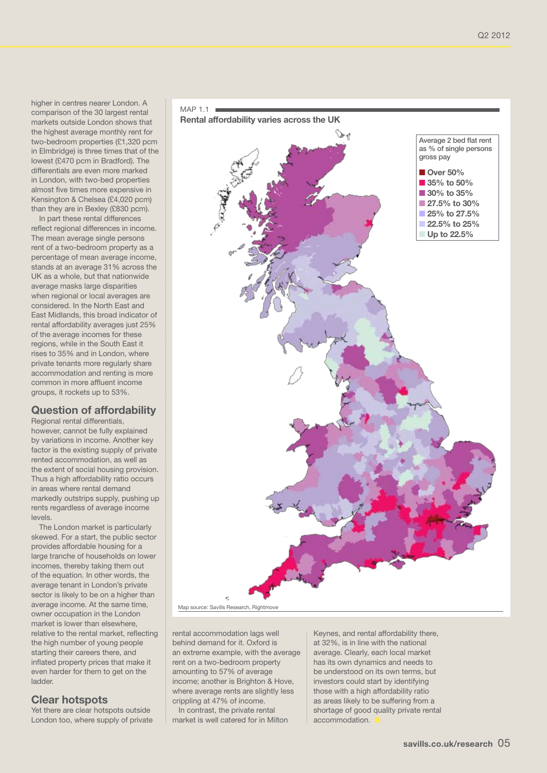higher in centres nearer London. A comparison of the 30 largest rental markets outside London shows that the highest average monthly rent for two-bedroom properties (£1,320 pcm in Elmbridge) is three times that of the lowest (£470 pcm in Bradford). The differentials are even more marked in London, with two-bed properties almost five times more expensive in Kensington & Chelsea (£4,020 pcm) than they are in Bexley (£830 pcm).

In part these rental differences reflect regional differences in income. The mean average single persons rent of a two-bedroom property as a percentage of mean average income, stands at an average 31% across the UK as a whole, but that nationwide average masks large disparities when regional or local averages are considered. In the North East and East Midlands, this broad indicator of rental affordability averages just 25% of the average incomes for these regions, while in the South East it rises to 35% and in London, where private tenants more regularly share accommodation and renting is more common in more affluent income groups, it rockets up to 53%.

### Question of affordability

Regional rental differentials,

however, cannot be fully explained by variations in income. Another key factor is the existing supply of private rented accommodation, as well as the extent of social housing provision. Thus a high affordability ratio occurs in areas where rental demand markedly outstrips supply, pushing up rents regardless of average income levels.

The London market is particularly skewed. For a start, the public sector provides affordable housing for a large tranche of households on lower incomes, thereby taking them out of the equation. In other words, the average tenant in London's private sector is likely to be on a higher than average income. At the same time, owner occupation in the London market is lower than elsewhere, relative to the rental market, reflecting the high number of young people starting their careers there, and inflated property prices that make it even harder for them to get on the ladder.

### Clear hotspots

Yet there are clear hotspots outside London too, where supply of private



Map source: Savills Research, Rightmo

rental accommodation lags well behind demand for it. Oxford is an extreme example, with the average rent on a two-bedroom property amounting to 57% of average income; another is Brighton & Hove, where average rents are slightly less crippling at 47% of income.

 In contrast, the private rental market is well catered for in Milton Keynes, and rental affordability there, at 32%, is in line with the national average. Clearly, each local market has its own dynamics and needs to be understood on its own terms, but investors could start by identifying those with a high affordability ratio as areas likely to be suffering from a shortage of good quality private rental accommodation.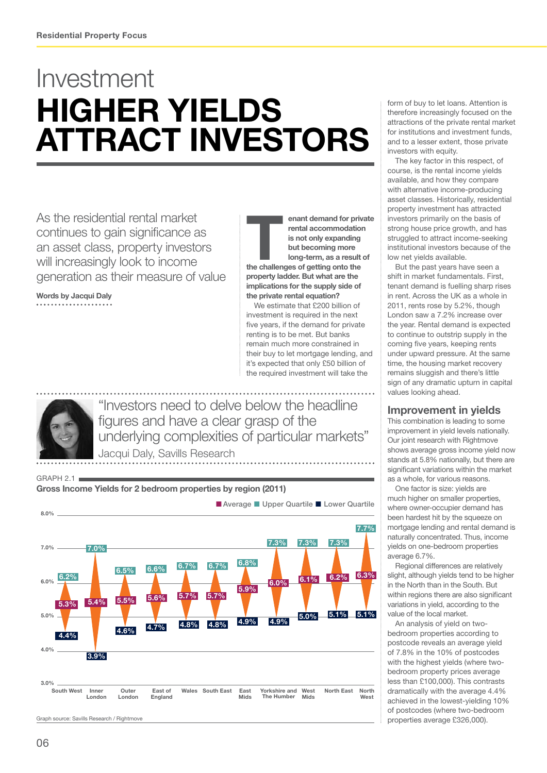## Investment higher yields attract investors

As the residential rental market continues to gain significance as an asset class, property investors will increasingly look to income generation as their measure of value

Words by Jacqui Daly

GRAPH 2.1

enant demand for private<br>
rental accommodation<br>
is not only expanding<br>
but becoming more<br>
long-term, as a result of<br>
the challenges of getting onto the rental accommodation is not only expanding but becoming more long-term, as a result of property ladder. But what are the implications for the supply side of the private rental equation?

We estimate that £200 billion of investment is required in the next five years, if the demand for private renting is to be met. But banks remain much more constrained in their buy to let mortgage lending, and it's expected that only £50 billion of the required investment will take the

"Investors need to delve below the headline figures and have a clear grasp of the underlying complexities of particular markets" Jacqui Daly, Savills Research

Gross Income Yields for 2 bedroom properties by region (2011) Graph source: Savills Research / Rightmove ■ Average ■ Upper Quartile ■ Lower Quartile South West Inner<br>London **Outer** London East of England Wales South East East Yorkshire and Mids The Humber West **Mids** North East North West 8.0%  $7.0\%$   $6.0\%$  6.2% 5.0% 4.0% 3.0% 7.0% 3.9%  $5.4%$ 4.8% 5.7% 5.7% 4.8% 4.7% 5.6%  $4.6%$ 5.5%  $4.4%$ 5.3% 4.9% 5.9%  $4.9%$ 6.0% 5.0%  $6.1%$ 5.1% 5.1%  $6.2\%$  6.3%  $6.5\%$  6.6% 6.7% 6.7% 6.8% and 6.8% 6.3% 7.3% 7.3% 7.3% 7.7%

form of buy to let loans. Attention is therefore increasingly focused on the attractions of the private rental market for institutions and investment funds, and to a lesser extent, those private investors with equity.

The key factor in this respect, of course, is the rental income yields available, and how they compare with alternative income-producing asset classes. Historically, residential property investment has attracted investors primarily on the basis of strong house price growth, and has struggled to attract income-seeking institutional investors because of the low net yields available.

But the past years have seen a shift in market fundamentals. First, tenant demand is fuelling sharp rises in rent. Across the UK as a whole in 2011, rents rose by 5.2%, though London saw a 7.2% increase over the year. Rental demand is expected to continue to outstrip supply in the coming five years, keeping rents under upward pressure. At the same time, the housing market recovery remains sluggish and there's little sign of any dramatic upturn in capital values looking ahead.

### Improvement in yields

This combination is leading to some improvement in yield levels nationally. Our joint research with Rightmove shows average gross income yield now stands at 5.8% nationally, but there are significant variations within the market as a whole, for various reasons.

One factor is size: yields are much higher on smaller properties, where owner-occupier demand has been hardest hit by the squeeze on mortgage lending and rental demand is naturally concentrated. Thus, income yields on one-bedroom properties average 6.7%.

Regional differences are relatively slight, although yields tend to be higher in the North than in the South. But within regions there are also significant variations in yield, according to the value of the local market.

An analysis of yield on twobedroom properties according to postcode reveals an average yield of 7.8% in the 10% of postcodes with the highest yields (where twobedroom property prices average less than £100,000). This contrasts dramatically with the average 4.4% achieved in the lowest-yielding 10% of postcodes (where two-bedroom properties average £326,000).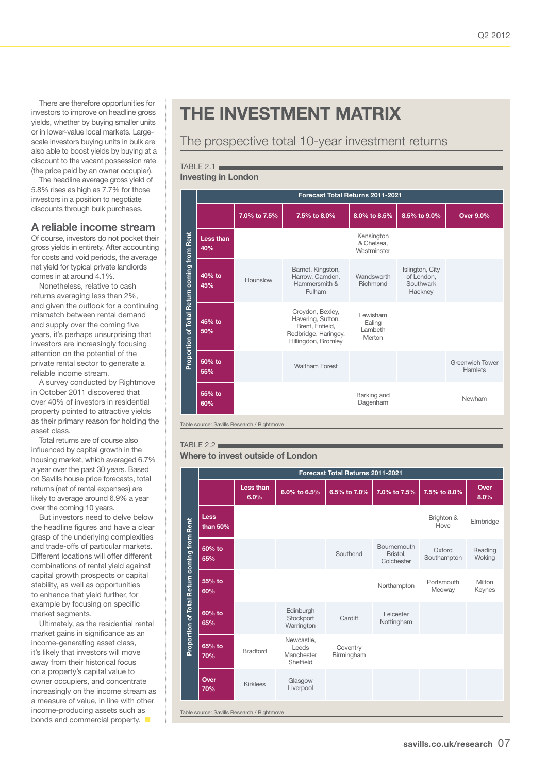There are therefore opportunities for investors to improve on headline gross yields, whether by buying smaller units or in lower-value local markets. Largescale investors buying units in bulk are also able to boost yields by buying at a discount to the vacant possession rate (the price paid by an owner occupier).

The headline average gross yield of 5.8% rises as high as 7.7% for those investors in a position to negotiate discounts through bulk purchases.

#### A reliable income stream

Of course, investors do not pocket their gross yields in entirety. After accounting for costs and void periods, the average net yield for typical private landlords comes in at around 4.1%.

Nonetheless, relative to cash returns averaging less than 2%, and given the outlook for a continuing mismatch between rental demand and supply over the coming five years, it's perhaps unsurprising that investors are increasingly focusing attention on the potential of the private rental sector to generate a reliable income stream.

A survey conducted by Rightmove in October 2011 discovered that over 40% of investors in residential property pointed to attractive yields as their primary reason for holding the asset class.

Total returns are of course also influenced by capital growth in the housing market, which averaged 6.7% a year over the past 30 years. Based on Savills house price forecasts, total returns (net of rental expenses) are likely to average around 6.9% a year over the coming 10 years.

But investors need to delve below the headline figures and have a clear grasp of the underlying complexities and trade-offs of particular markets. Different locations will offer different combinations of rental yield against capital growth prospects or capital stability, as well as opportunities to enhance that yield further, for example by focusing on specific market segments.

Ultimately, as the residential rental market gains in significance as an income-generating asset class, it's likely that investors will move away from their historical focus on a property's capital value to owner occupiers, and concentrate increasingly on the income stream as a measure of value, in line with other income-producing assets such as bonds and commercial property.  $\blacksquare$ 

### the Investment matrix

### The prospective total 10-year investment returns

TABLE 2.1

#### Investing in London

|                                             |                                            | Forecast Total Returns 2011-2021 |                                                                                                         |                                         |                                                       |                                   |  |  |  |  |
|---------------------------------------------|--------------------------------------------|----------------------------------|---------------------------------------------------------------------------------------------------------|-----------------------------------------|-------------------------------------------------------|-----------------------------------|--|--|--|--|
|                                             |                                            | 7.0% to 7.5%                     | 7.5% to 8.0%                                                                                            | 8.0% to 8.5%                            | 8.5% to 9.0%                                          | <b>Over 9.0%</b>                  |  |  |  |  |
|                                             | <b>Less than</b><br>40%                    |                                  |                                                                                                         | Kensington<br>& Chelsea.<br>Westminster |                                                       |                                   |  |  |  |  |
|                                             | 40% to<br>45%                              | Hounslow                         | Barnet, Kingston,<br>Harrow, Camden,<br>Hammersmith &<br>Fulham                                         | Wandsworth<br>Richmond                  | Islington, City<br>of London,<br>Southwark<br>Hackney |                                   |  |  |  |  |
| Proportion of Total Return coming from Rent | $45%$ to<br>50%                            |                                  | Croydon, Bexley,<br>Havering, Sutton,<br>Brent. Enfield.<br>Redbridge, Haringey,<br>Hillingdon, Bromley | Lewisham<br>Ealing<br>Lambeth<br>Merton |                                                       |                                   |  |  |  |  |
|                                             | 50% to<br>55%                              |                                  | <b>Waltham Forest</b>                                                                                   |                                         |                                                       | <b>Greenwich Tower</b><br>Hamlets |  |  |  |  |
|                                             | 55% to<br>60%                              |                                  |                                                                                                         | Barking and<br>Dagenham                 |                                                       | Newham                            |  |  |  |  |
|                                             | Table source: Savills Research / Rightmove |                                  |                                                                                                         |                                         |                                                       |                                   |  |  |  |  |

#### TABLE 2.2 $=$

#### Where to invest outside of London

|                                             |                         | Forecast Total Returns 2011-2021 |                                                |                        |                                       |                       |                   |  |  |  |
|---------------------------------------------|-------------------------|----------------------------------|------------------------------------------------|------------------------|---------------------------------------|-----------------------|-------------------|--|--|--|
|                                             |                         | Less than<br>6.0%                | 6.0% to 6.5%                                   | 6.5% to 7.0%           | 7.0% to 7.5%                          | 7.5% to 8.0%          | Over<br>8.0%      |  |  |  |
|                                             | <b>Less</b><br>than 50% |                                  |                                                |                        |                                       | Brighton &<br>Hove    | Elmbridge         |  |  |  |
| Proportion of Total Return coming from Rent | 50% to<br>55%           |                                  |                                                | Southend               | Bournemouth<br>Bristol,<br>Colchester | Oxford<br>Southampton | Reading<br>Woking |  |  |  |
|                                             | 55% to<br>60%           |                                  |                                                |                        | Northampton                           | Portsmouth<br>Medway  | Milton<br>Keynes  |  |  |  |
|                                             | 60% to<br>65%           |                                  | Edinburgh<br>Stockport<br>Warrington           | Cardiff                | Leicester<br>Nottingham               |                       |                   |  |  |  |
|                                             | 65% to<br>70%           | <b>Bradford</b>                  | Newcastle.<br>Leeds<br>Manchester<br>Sheffield | Coventry<br>Birmingham |                                       |                       |                   |  |  |  |
|                                             | Over<br>70%             | <b>Kirklees</b>                  | Glasgow<br>Liverpool                           |                        |                                       |                       |                   |  |  |  |
| Table source: Savills Research / Rightmove  |                         |                                  |                                                |                        |                                       |                       |                   |  |  |  |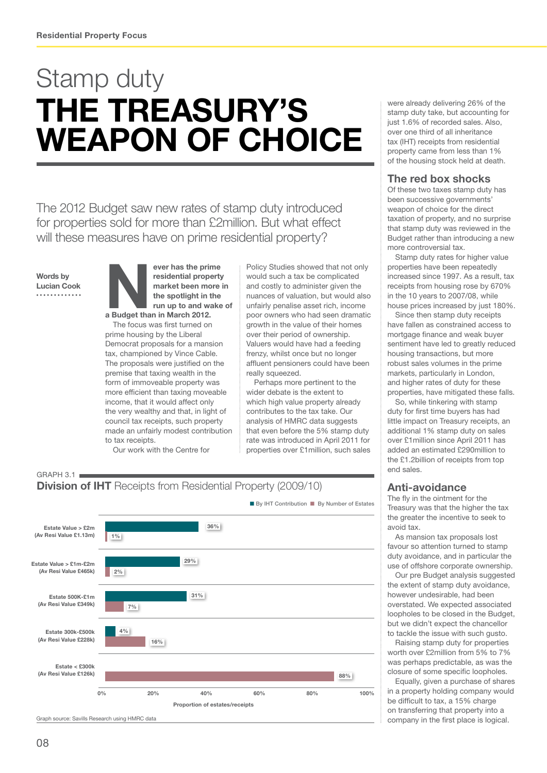## Stamp duty the treasury's weapon of choice

The 2012 Budget saw new rates of stamp duty introduced for properties sold for more than £2million. But what effect will these measures have on prime residential property?

Words by Lucian Cook



The focus was first turned on prime housing by the Liberal Democrat proposals for a mansion tax, championed by Vince Cable. The proposals were justified on the premise that taxing wealth in the form of immoveable property was more efficient than taxing moveable income, that it would affect only the very wealthy and that, in light of council tax receipts, such property made an unfairly modest contribution to tax receipts.

Our work with the Centre for

Policy Studies showed that not only would such a tax be complicated and costly to administer given the nuances of valuation, but would also unfairly penalise asset rich, income poor owners who had seen dramatic growth in the value of their homes over their period of ownership. Valuers would have had a feeding frenzy, whilst once but no longer affluent pensioners could have been really squeezed.

Perhaps more pertinent to the wider debate is the extent to which high value property already contributes to the tax take. Our analysis of HMRC data suggests that even before the 5% stamp duty rate was introduced in April 2011 for properties over £1million, such sales

 $GRAPH 3.1$ **Division of IHT** Receipts from Residential Property (2009/10)



were already delivering 26% of the stamp duty take, but accounting for just 1.6% of recorded sales. Also, over one third of all inheritance tax (IHT) receipts from residential property came from less than 1% of the housing stock held at death.

### The red box shocks

Of these two taxes stamp duty has been successive governments' weapon of choice for the direct taxation of property, and no surprise that stamp duty was reviewed in the Budget rather than introducing a new more controversial tax.

Stamp duty rates for higher value properties have been repeatedly increased since 1997. As a result, tax receipts from housing rose by 670% in the 10 years to 2007/08, while house prices increased by just 180%.

Since then stamp duty receipts have fallen as constrained access to mortgage finance and weak buyer sentiment have led to greatly reduced housing transactions, but more robust sales volumes in the prime markets, particularly in London, and higher rates of duty for these properties, have mitigated these falls.

So, while tinkering with stamp duty for first time buyers has had little impact on Treasury receipts, an additional 1% stamp duty on sales over £1million since April 2011 has added an estimated £290million to the £1.2billion of receipts from top end sales.

### Anti-avoidance

The fly in the ointment for the Treasury was that the higher the tax the greater the incentive to seek to avoid tax.

As mansion tax proposals lost favour so attention turned to stamp duty avoidance, and in particular the use of offshore corporate ownership.

Our pre Budget analysis suggested the extent of stamp duty avoidance, however undesirable, had been overstated. We expected associated loopholes to be closed in the Budget, but we didn't expect the chancellor to tackle the issue with such gusto.

Raising stamp duty for properties worth over £2million from 5% to 7% was perhaps predictable, as was the closure of some specific loopholes.

Equally, given a purchase of shares in a property holding company would be difficult to tax, a 15% charge on transferring that property into a company in the first place is logical.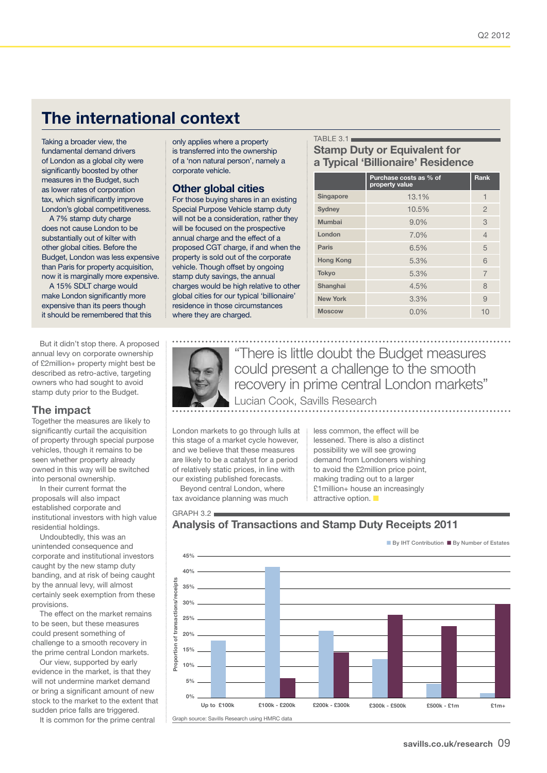### The international context

Taking a broader view, the fundamental demand drivers of London as a global city were significantly boosted by other measures in the Budget, such as lower rates of corporation tax, which significantly improve London's global competitiveness.

A 7% stamp duty charge does not cause London to be substantially out of kilter with other global cities. Before the Budget, London was less expensive than Paris for property acquisition, now it is marginally more expensive.

A 15% SDLT charge would make London significantly more expensive than its peers though it should be remembered that this

But it didn't stop there. A proposed annual levy on corporate ownership of £2million+ property might best be described as retro-active, targeting owners who had sought to avoid stamp duty prior to the Budget.

### The impact

Together the measures are likely to significantly curtail the acquisition of property through special purpose vehicles, though it remains to be seen whether property already owned in this way will be switched into personal ownership.

In their current format the proposals will also impact established corporate and institutional investors with high value residential holdings.

Undoubtedly, this was an unintended consequence and corporate and institutional investors caught by the new stamp duty banding, and at risk of being caught by the annual levy, will almost certainly seek exemption from these provisions.

The effect on the market remains to be seen, but these measures could present something of challenge to a smooth recovery in the prime central London markets.

Our view, supported by early evidence in the market, is that they will not undermine market demand or bring a significant amount of new stock to the market to the extent that sudden price falls are triggered.

It is common for the prime central

only applies where a property is transferred into the ownership of a 'non natural person', namely a corporate vehicle.

#### Other global cities

For those buying shares in an existing Special Purpose Vehicle stamp duty will not be a consideration, rather they will be focused on the prospective annual charge and the effect of a proposed CGT charge, if and when the property is sold out of the corporate vehicle. Though offset by ongoing stamp duty savings, the annual charges would be high relative to other global cities for our typical 'billionaire' residence in those circumstances where they are charged.

#### TABLE  $3.1$ Stamp Duty or Equivalent for a Typical 'Billionaire' Residence

|                  | Purchase costs as % of<br>property value | Rank           |
|------------------|------------------------------------------|----------------|
| <b>Singapore</b> | 13.1%                                    | 1              |
| <b>Sydney</b>    | 10.5%                                    | $\overline{2}$ |
| Mumbai           | 9.0%                                     | 3              |
| London           | 7.0%                                     | $\overline{4}$ |
| Paris            | 6.5%                                     | 5              |
| <b>Hong Kong</b> | 5.3%                                     | 6              |
| <b>Tokyo</b>     | 5.3%                                     | $\overline{7}$ |
| Shanghai         | 4.5%                                     | 8              |
| <b>New York</b>  | 3.3%                                     | 9              |
| <b>Moscow</b>    | 0.0%                                     | 10             |



 $GRAPH 3.2$ 

"There is little doubt the Budget measures could present a challenge to the smooth recovery in prime central London markets" Lucian Cook, Savills Research

London markets to go through lulls at this stage of a market cycle however, and we believe that these measures are likely to be a catalyst for a period of relatively static prices, in line with our existing published forecasts.

Beyond central London, where tax avoidance planning was much less common, the effect will be lessened. There is also a distinct possibility we will see growing demand from Londoners wishing to avoid the £2million price point, making trading out to a larger £1million+ house an increasingly attractive option.  $\blacksquare$ 

### Analysis of Transactions and Stamp Duty Receipts 2011



Graph source: Savills Research using HMRC data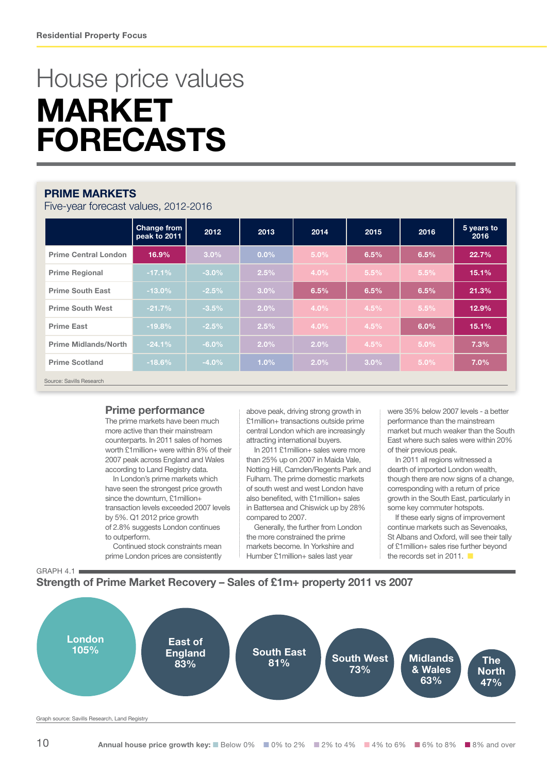## House price values **MARKET** FORECASTS

### PRIME MARKETS

Five-year forecast values, 2012-2016

|                             | <b>Change from</b><br>peak to 2011 | 2012     | 2013    | 2014 | 2015 | 2016    | 5 years to<br>2016 |
|-----------------------------|------------------------------------|----------|---------|------|------|---------|--------------------|
| <b>Prime Central London</b> | 16.9%                              | 3.0%     | $0.0\%$ | 5.0% | 6.5% | 6.5%    | 22.7%              |
| <b>Prime Regional</b>       | $-17.1%$                           | $-3.0\%$ | 2.5%    | 4.0% | 5.5% | 5.5%    | 15.1%              |
| <b>Prime South East</b>     | $-13.0%$                           | $-2.5%$  | 3.0%    | 6.5% | 6.5% | 6.5%    | 21.3%              |
| <b>Prime South West</b>     | $-21.7%$                           | $-3.5%$  | 2.0%    | 4.0% | 4.5% | 5.5%    | 12.9%              |
| <b>Prime East</b>           | $-19.8%$                           | $-2.5%$  | 2.5%    | 4.0% | 4.5% | 6.0%    | 15.1%              |
| <b>Prime Midlands/North</b> | $-24.1%$                           | $-6.0\%$ | 2.0%    | 2.0% | 4.5% | 5.0%    | 7.3%               |
| <b>Prime Scotland</b>       | $-18.6%$                           | $-4.0%$  | 1.0%    | 2.0% | 3.0% | $5.0\%$ | 7.0%               |
| Source: Savills Research    |                                    |          |         |      |      |         |                    |

### Prime performance

The prime markets have been much more active than their mainstream counterparts. In 2011 sales of homes worth £1million+ were within 8% of their 2007 peak across England and Wales according to Land Registry data.

In London's prime markets which have seen the strongest price growth since the downturn, £1 million+ transaction levels exceeded 2007 levels by 5%. Q1 2012 price growth of 2.8% suggests London continues to outperform.

Continued stock constraints mean prime London prices are consistently

above peak, driving strong growth in £1million+ transactions outside prime central London which are increasingly attracting international buyers.

In 2011 £1million+ sales were more than 25% up on 2007 in Maida Vale, Notting Hill, Camden/Regents Park and Fulham. The prime domestic markets of south west and west London have also benefited, with £1million+ sales in Battersea and Chiswick up by 28% compared to 2007.

Generally, the further from London the more constrained the prime markets become. In Yorkshire and Humber £1million+ sales last year

were 35% below 2007 levels - a better performance than the mainstream market but much weaker than the South East where such sales were within 20% of their previous peak.

In 2011 all regions witnessed a dearth of imported London wealth, though there are now signs of a change, corresponding with a return of price growth in the South East, particularly in some key commuter hotspots.

If these early signs of improvement continue markets such as Sevenoaks, St Albans and Oxford, will see their tally of £1million+ sales rise further beyond the records set in 2011.



### Strength of Prime Market Recovery – Sales of £1m+ property 2011 vs 2007

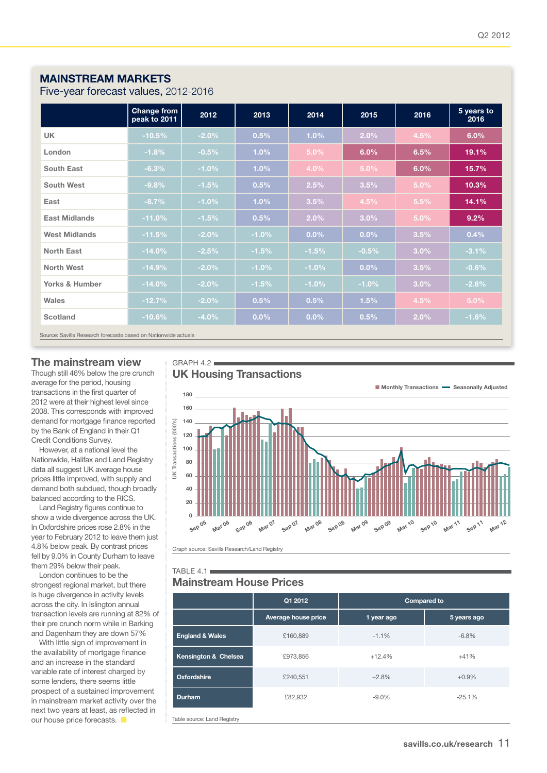### mainstream MARKETS

Five-year forecast values, 2012-2016

|                           | Change from<br>peak to 2011 | 2012     | 2013    | 2014    | 2015    | 2016    | 5 years to<br>2016 |
|---------------------------|-----------------------------|----------|---------|---------|---------|---------|--------------------|
| <b>UK</b>                 | $-10.5%$                    | $-2.0%$  | 0.5%    | 1.0%    | 2.0%    | 4.5%    | 6.0%               |
| London                    | $-1.8%$                     | $-0.5%$  | 1.0%    | 5.0%    | 6.0%    | 6.5%    | 19.1%              |
| <b>South East</b>         | $-6.3%$                     | $-1.0%$  | 1.0%    | 4.0%    | 5.0%    | 6.0%    | 15.7%              |
| South West                | $-9.8%$                     | $-1.5%$  | 0.5%    | 2.5%    | 3.5%    | 5.0%    | 10.3%              |
| East                      | $-8.7%$                     | $-1.0%$  | 1.0%    | 3.5%    | 4.5%    | 5.5%    | 14.1%              |
| <b>East Midlands</b>      | $-11.0%$                    | $-1.5%$  | 0.5%    | 2.0%    | 3.0%    | $5.0\%$ | 9.2%               |
| <b>West Midlands</b>      | $-11.5%$                    | $-2.0%$  | $-1.0%$ | $0.0\%$ | $0.0\%$ | 3.5%    | 0.4%               |
| North East                | $-14.0%$                    | $-2.5%$  | $-1.5%$ | $-1.5%$ | $-0.5%$ | $3.0\%$ | $-3.1%$            |
| <b>North West</b>         | $-14.9%$                    | $-2.0%$  | $-1.0%$ | $-1.0%$ | $0.0\%$ | 3.5%    | $-0.6%$            |
| <b>Yorks &amp; Humber</b> | $-14.0%$                    | $-2.0%$  | $-1.5%$ | $-1.0%$ | $-1.0%$ | 3.0%    | $-2.6%$            |
| <b>Wales</b>              | $-12.7%$                    | $-2.0\%$ | 0.5%    | 0.5%    | 1.5%    | 4.5%    | $5.0\%$            |
| Scotland                  | $-10.6%$                    | $-4.0%$  | $0.0\%$ | $0.0\%$ | 0.5%    | $2.0\%$ | $-1.6%$            |

Source: Savills Research forecasts based on Nationwide actuals

#### The mainstream view

Though still 46% below the pre crunch average for the period, housing transactions in the first quarter of 2012 were at their highest level since 2008. This corresponds with improved demand for mortgage finance reported by the Bank of England in their Q1 Credit Conditions Survey.

However, at a national level the Nationwide, Halifax and Land Registry data all suggest UK average house prices little improved, with supply and demand both subdued, though broadly balanced according to the RICS.

Land Registry figures continue to show a wide divergence across the UK. In Oxfordshire prices rose 2.8% in the year to February 2012 to leave them just 4.8% below peak. By contrast prices fell by 9.0% in County Durham to leave them 29% below their peak.

London continues to be the strongest regional market, but there is huge divergence in activity levels across the city. In Islington annual transaction levels are running at 82% of their pre crunch norm while in Barking and Dagenham they are down 57%

With little sign of improvement in the availability of mortgage finance and an increase in the standard variable rate of interest charged by some lenders, there seems little prospect of a sustained improvement in mainstream market activity over the next two years at least, as reflected in our house price forecasts.  $\blacksquare$ 

UK Housing Transactions

 $GRAPH 4.2$ 



Graph source: Savills Research/Land Registry

### TABLE  $4.1$

|                            | Q1 2012             | <b>Compared to</b> |             |  |  |  |  |
|----------------------------|---------------------|--------------------|-------------|--|--|--|--|
|                            | Average house price | 1 year ago         | 5 years ago |  |  |  |  |
| <b>England &amp; Wales</b> | £160,889            | $-1.1%$            | $-6.8%$     |  |  |  |  |
| Kensington & Chelsea       | £973,856            | $+12.4%$           | $+41%$      |  |  |  |  |
| <b>Oxfordshire</b>         | £240,551            | $+2.8%$            | $+0.9%$     |  |  |  |  |
| <b>Durham</b>              | £82,932             | $-9.0%$            | $-25.1%$    |  |  |  |  |
|                            |                     |                    |             |  |  |  |  |

Table source: Land Registry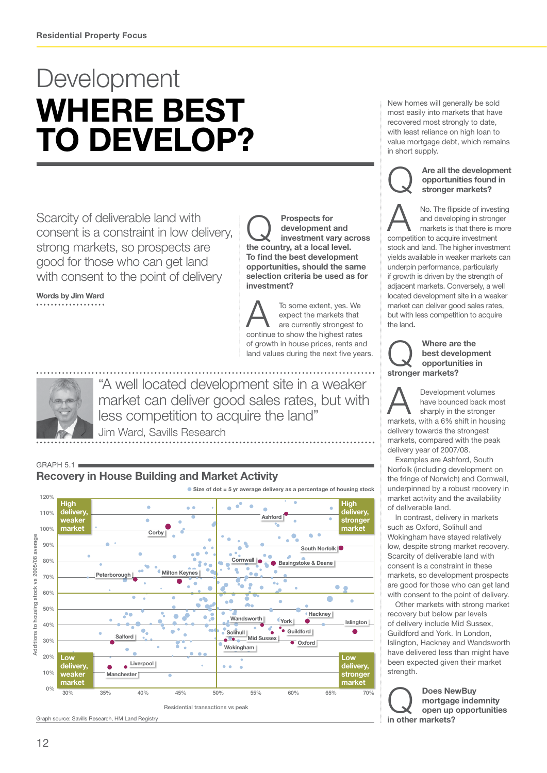## **Development** WHERE BEST TO DEVELOP?

Scarcity of deliverable land with consent is a constraint in low delivery, strong markets, so prospects are good for those who can get land with consent to the point of delivery

Words by Jim Ward

**Conservery** development and investment values development and investment vary across the country, at a local level. To find the best development opportunities, should the same selection criteria be used as for investment?

To some extent, yes. We<br>
expect the markets that<br>
are currently strongest to<br>
continue to kinked rate expect the markets that continue to show the highest rates of growth in house prices, rents and land values during the next five years.



"A well located development site in a weaker market can deliver good sales rates, but with less competition to acquire the land"

Jim Ward, Savills Research

 $GRAPH 5.1$ 



New homes will generally be sold most easily into markets that have recovered most strongly to date, with least reliance on high loan to value mortgage debt, which remains in short supply.



Are all the development<br>opportunities found in<br>stronger markets? opportunities found in stronger markets?

No. The flipside of investing<br>and developing in stronger<br>markets is that there is more<br>compatition to go with in vectors and developing in stronger markets is that there is more competition to acquire investment stock and land. The higher investment yields available in weaker markets can underpin performance, particularly if growth is driven by the strength of adjacent markets. Conversely, a well located development site in a weaker market can deliver good sales rates, but with less competition to acquire the land.

Where are the<br>
best developme<br>
opportunities in best development stronger markets?

 $\sum_{\substack{\text{have bounded back } m \\ \text{sharply in the stronger} \\ \text{models with a 60% shift in hours}}$ have bounced back most sharply in the stronger markets, with a 6% shift in housing delivery towards the strongest markets, compared with the peak delivery year of 2007/08.

Examples are Ashford, South Norfolk (including development on the fringe of Norwich) and Cornwall, underpinned by a robust recovery in market activity and the availability of deliverable land.

In contrast, delivery in markets such as Oxford, Solihull and Wokingham have stayed relatively low, despite strong market recovery. Scarcity of deliverable land with consent is a constraint in these markets, so development prospects are good for those who can get land with consent to the point of delivery.

Other markets with strong market recovery but below par levels of delivery include Mid Sussex, Guildford and York. In London, Islington, Hackney and Wandsworth have delivered less than might have been expected given their market strength.

Does NewBuy<br>mortgage inde<br>open up oppor mortgage indemnity open up opportunities in other markets?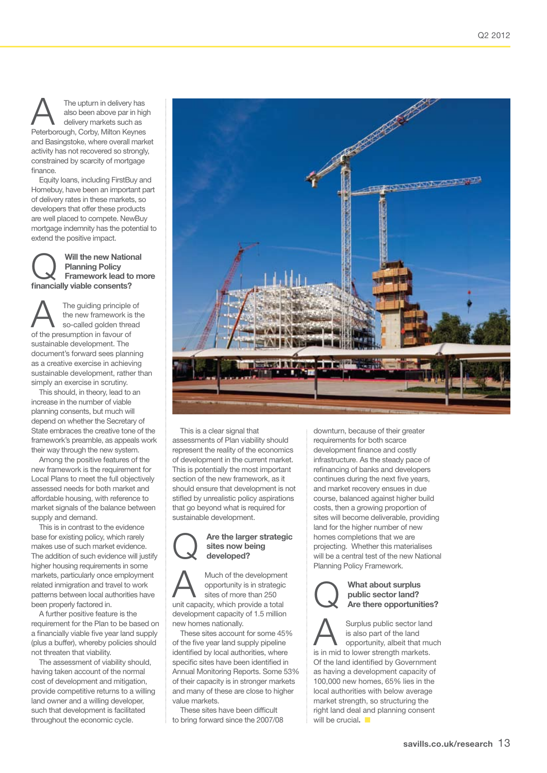The upturn in delivery has also been above par in high delivery markets such as Peterborough, Corby, Milton Keynes and Basingstoke, where overall market activity has not recovered so strongly, constrained by scarcity of mortgage finance.

Equity loans, including FirstBuy and Homebuy, have been an important part of delivery rates in these markets, so developers that offer these products are well placed to compete. NewBuy mortgage indemnity has the potential to extend the positive impact.

Will the new National<br>
Planning Policy<br>
Framework lead to more<br>
finencially viable precents? Planning Policy financially viable consents?

The guiding principle of<br>the new framework is the<br>so-called golden thread the new framework is the so-called golden thread of the presumption in favour of sustainable development. The document's forward sees planning as a creative exercise in achieving sustainable development, rather than simply an exercise in scrutiny.

This should, in theory, lead to an increase in the number of viable planning consents, but much will depend on whether the Secretary of State embraces the creative tone of the framework's preamble, as appeals work their way through the new system.

Among the positive features of the new framework is the requirement for Local Plans to meet the full objectively assessed needs for both market and affordable housing, with reference to market signals of the balance between supply and demand.

This is in contrast to the evidence base for existing policy, which rarely makes use of such market evidence. The addition of such evidence will justify higher housing requirements in some markets, particularly once employment related inmigration and travel to work patterns between local authorities have been properly factored in.

A further positive feature is the requirement for the Plan to be based on a financially viable five year land supply (plus a buffer), whereby policies should not threaten that viability.

The assessment of viability should, having taken account of the normal cost of development and mitigation, provide competitive returns to a willing land owner and a willing developer, such that development is facilitated throughout the economic cycle.



This is a clear signal that assessments of Plan viability should represent the reality of the economics of development in the current market. This is potentially the most important section of the new framework, as it should ensure that development is not stifled by unrealistic policy aspirations that go beyond what is required for sustainable development.



### Are the larger strategic sites now being

Much of the development opportunity is in strategic sites of more than 250 unit capacity, which provide a total development capacity of 1.5 million new homes nationally.

These sites account for some 45% of the five year land supply pipeline identified by local authorities, where specific sites have been identified in Annual Monitoring Reports. Some 53% of their capacity is in stronger markets and many of these are close to higher value markets.

These sites have been difficult to bring forward since the 2007/08 downturn, because of their greater requirements for both scarce development finance and costly infrastructure. As the steady pace of refinancing of banks and developers continues during the next five years, and market recovery ensues in due course, balanced against higher build costs, then a growing proportion of sites will become deliverable, providing land for the higher number of new homes completions that we are projecting. Whether this materialises will be a central test of the new National Planning Policy Framework.



### What about surplus<br>
public sector land?<br>
Are there opportunities? public sector land?

Surplus public sector land<br>
is also part of the land<br>
opportunity, albeit that much<br>
is in mid to low that much is also part of the land is in mid to lower strength markets. Of the land identified by Government as having a development capacity of 100,000 new homes, 65% lies in the local authorities with below average market strength, so structuring the right land deal and planning consent will be crucial.  $\blacksquare$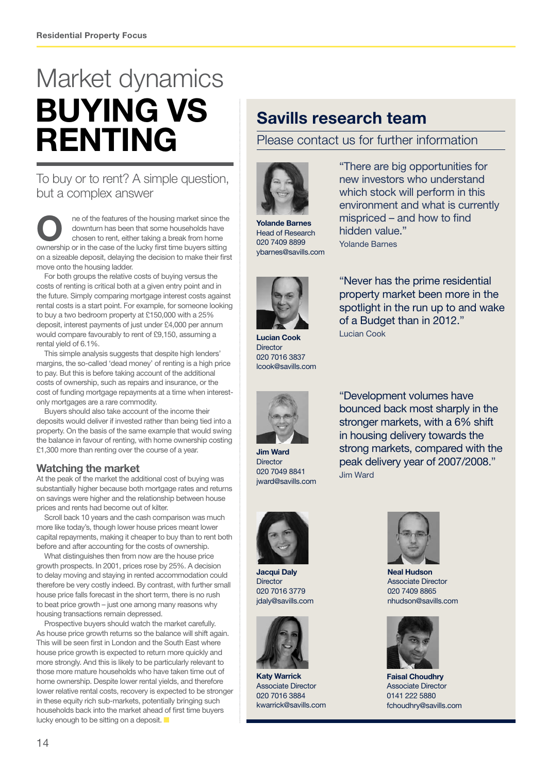# buying vs **RENTING** Market dynamics

### To buy or to rent? A simple question, but a complex answer

The of the features of the housing market since the downturn has been that some households have chosen to rent, either taking a break from home downturn has been that some households have ownership or in the case of the lucky first time buyers sitting on a sizeable deposit, delaying the decision to make their first move onto the housing ladder.

For both groups the relative costs of buying versus the costs of renting is critical both at a given entry point and in the future. Simply comparing mortgage interest costs against rental costs is a start point. For example, for someone looking to buy a two bedroom property at £150,000 with a 25% deposit, interest payments of just under £4,000 per annum would compare favourably to rent of £9,150, assuming a rental yield of 6.1%.

This simple analysis suggests that despite high lenders' margins, the so-called 'dead money' of renting is a high price to pay. But this is before taking account of the additional costs of ownership, such as repairs and insurance, or the cost of funding mortgage repayments at a time when interestonly mortgages are a rare commodity.

Buyers should also take account of the income their deposits would deliver if invested rather than being tied into a property. On the basis of the same example that would swing the balance in favour of renting, with home ownership costing £1,300 more than renting over the course of a year.

### Watching the market

At the peak of the market the additional cost of buying was substantially higher because both mortgage rates and returns on savings were higher and the relationship between house prices and rents had become out of kilter.

Scroll back 10 years and the cash comparison was much more like today's, though lower house prices meant lower capital repayments, making it cheaper to buy than to rent both before and after accounting for the costs of ownership.

What distinguishes then from now are the house price growth prospects. In 2001, prices rose by 25%. A decision to delay moving and staying in rented accommodation could therefore be very costly indeed. By contrast, with further small house price falls forecast in the short term, there is no rush to beat price growth – just one among many reasons why housing transactions remain depressed.

Prospective buyers should watch the market carefully. As house price growth returns so the balance will shift again. This will be seen first in London and the South East where house price growth is expected to return more quickly and more strongly. And this is likely to be particularly relevant to those more mature households who have taken time out of home ownership. Despite lower rental yields, and therefore lower relative rental costs, recovery is expected to be stronger in these equity rich sub-markets, potentially bringing such households back into the market ahead of first time buyers lucky enough to be sitting on a deposit.

### Savills research team

Please contact us for further information



Yolande Barnes Head of Research 020 7409 8899 ybarnes@savills.com

"There are big opportunities for new investors who understand which stock will perform in this environment and what is currently mispriced – and how to find hidden value." Yolande Barnes



Lucian Cook **Director** 020 7016 3837 lcook@savills.com



Jim Ward **Director** 020 7049 8841 jward@savills.com



"Development volumes have bounced back most sharply in the stronger markets, with a 6% shift in housing delivery towards the strong markets, compared with the peak delivery year of 2007/2008." Jim Ward



Jacqui Daly **Director** 020 7016 3779 idaly@savills.com



Katy Warrick Associate Director 020 7016 3884 kwarrick@savills.com



Neal Hudson Associate Director 020 7409 8865 nhudson@savills.com



Faisal Choudhry Associate Director 0141 222 5880 fchoudhry@savills.com